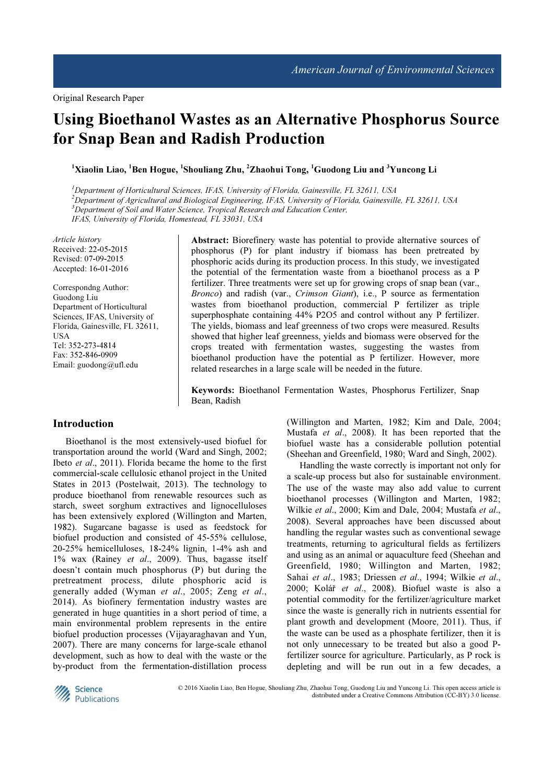# Using Bioethanol Wastes as an Alternative Phosphorus Source for Snap Bean and Radish Production

 $^1$ Xiaolin Liao,  $^1$ Ben Hogue,  $^1$ Shouliang Zhu,  $^2$ Zhaohui Tong,  $^1$ Guodong Liu and  $^3$ Yuncong Li

<sup>1</sup>Department of Horticultural Sciences, IFAS, University of Florida, Gainesville, FL 32611, USA  $^{2}$ Department of Agricultural and Biological Engineering, IFAS, University of Florida, Gainesville, FL 32611, USA  $3D$ epartment of Soil and Water Science, Tropical Research and Education Center, IFAS, University of Florida, Homestead, FL 33031, USA

Article history Received: 22-05-2015 Revised: 07-09-2015 Accepted: 16-01-2016

Correspondng Author: Guodong Liu Department of Horticultural Sciences, IFAS, University of Florida, Gainesville, FL 32611, USA Tel: 352-273-4814 Fax: 352-846-0909 Email: guodong@ufl.edu

Abstract: Biorefinery waste has potential to provide alternative sources of phosphorus (P) for plant industry if biomass has been pretreated by phosphoric acids during its production process. In this study, we investigated the potential of the fermentation waste from a bioethanol process as a P fertilizer. Three treatments were set up for growing crops of snap bean (var., Bronco) and radish (var., Crimson Giant), i.e., P source as fermentation wastes from bioethanol production, commercial P fertilizer as triple superphosphate containing 44% P2O5 and control without any P fertilizer. The yields, biomass and leaf greenness of two crops were measured. Results showed that higher leaf greenness, yields and biomass were observed for the crops treated with fermentation wastes, suggesting the wastes from bioethanol production have the potential as P fertilizer. However, more related researches in a large scale will be needed in the future.

Keywords: Bioethanol Fermentation Wastes, Phosphorus Fertilizer, Snap Bean, Radish

## Introduction

Bioethanol is the most extensively-used biofuel for transportation around the world (Ward and Singh, 2002; Ibeto et al., 2011). Florida became the home to the first commercial-scale cellulosic ethanol project in the United States in 2013 (Postelwait, 2013). The technology to produce bioethanol from renewable resources such as starch, sweet sorghum extractives and lignocelluloses has been extensively explored (Willington and Marten, 1982). Sugarcane bagasse is used as feedstock for biofuel production and consisted of 45-55% cellulose, 20-25% hemicelluloses, 18-24% lignin, 1-4% ash and 1% wax (Rainey et al., 2009). Thus, bagasse itself doesn't contain much phosphorus (P) but during the pretreatment process, dilute phosphoric acid is generally added (Wyman et al., 2005; Zeng et al., 2014). As biofinery fermentation industry wastes are generated in huge quantities in a short period of time, a main environmental problem represents in the entire biofuel production processes (Vijayaraghavan and Yun, 2007). There are many concerns for large-scale ethanol development, such as how to deal with the waste or the by-product from the fermentation-distillation process

(Willington and Marten, 1982; Kim and Dale, 2004; Mustafa et al., 2008). It has been reported that the biofuel waste has a considerable pollution potential (Sheehan and Greenfield, 1980; Ward and Singh, 2002).

Handling the waste correctly is important not only for a scale-up process but also for sustainable environment. The use of the waste may also add value to current bioethanol processes (Willington and Marten, 1982; Wilkie et al., 2000; Kim and Dale, 2004; Mustafa et al., 2008). Several approaches have been discussed about handling the regular wastes such as conventional sewage treatments, returning to agricultural fields as fertilizers and using as an animal or aquaculture feed (Sheehan and Greenfield, 1980; Willington and Marten, 1982; Sahai et al., 1983; Driessen et al., 1994; Wilkie et al., 2000; Kolář et al., 2008). Biofuel waste is also a potential commodity for the fertilizer/agriculture market since the waste is generally rich in nutrients essential for plant growth and development (Moore, 2011). Thus, if the waste can be used as a phosphate fertilizer, then it is not only unnecessary to be treated but also a good Pfertilizer source for agriculture. Particularly, as P rock is depleting and will be run out in a few decades, a



© 2016 Xiaolin Liao, Ben Hogue, Shouliang Zhu, Zhaohui Tong, Guodong Liu and Yuncong Li. This open access article is distributed under a Creative Commons Attribution (CC-BY) 3.0 license.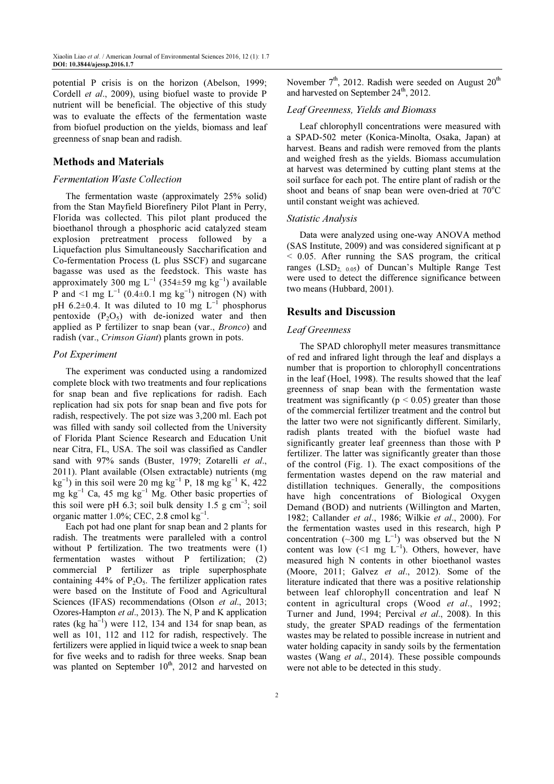potential P crisis is on the horizon (Abelson, 1999; Cordell et al., 2009), using biofuel waste to provide P nutrient will be beneficial. The objective of this study was to evaluate the effects of the fermentation waste from biofuel production on the yields, biomass and leaf greenness of snap bean and radish.

### Methods and Materials

#### Fermentation Waste Collection

The fermentation waste (approximately 25% solid) from the Stan Mayfield Biorefinery Pilot Plant in Perry, Florida was collected. This pilot plant produced the bioethanol through a phosphoric acid catalyzed steam explosion pretreatment process followed by a Liquefaction plus Simultaneously Saccharification and Co-fermentation Process (L plus SSCF) and sugarcane bagasse was used as the feedstock. This waste has approximately 300 mg L<sup>-1</sup> (354±59 mg kg<sup>-1</sup>) available P and <1 mg  $L^{-1}$  (0.4±0.1 mg  $kg^{-1}$ ) nitrogen (N) with pH 6.2 $\pm$ 0.4. It was diluted to 10 mg L<sup>-1</sup> phosphorus pentoxide  $(P_2O_5)$  with de-ionized water and then applied as P fertilizer to snap bean (var., Bronco) and radish (var., Crimson Giant) plants grown in pots.

#### Pot Experiment

The experiment was conducted using a randomized complete block with two treatments and four replications for snap bean and five replications for radish. Each replication had six pots for snap bean and five pots for radish, respectively. The pot size was 3,200 ml. Each pot was filled with sandy soil collected from the University of Florida Plant Science Research and Education Unit near Citra, FL, USA. The soil was classified as Candler sand with 97% sands (Buster, 1979; Zotarelli et al., 2011). Plant available (Olsen extractable) nutrients (mg  $\text{kg}^{-1}$ ) in this soil were 20 mg kg<sup>-1</sup> P, 18 mg kg<sup>-1</sup> K, 422 mg kg<sup>-1</sup> Ca, 45 mg kg<sup>-1</sup> Mg. Other basic properties of this soil were pH 6.3; soil bulk density  $1.5 \text{ g cm}^{-3}$ ; soil organic matter  $1.0\%$ ; CEC, 2.8 cmol kg<sup>-1</sup>.

Each pot had one plant for snap bean and 2 plants for radish. The treatments were paralleled with a control without P fertilization. The two treatments were (1) fermentation wastes without P fertilization; (2) commercial P fertilizer as triple superphosphate containing 44% of  $P_2O_5$ . The fertilizer application rates were based on the Institute of Food and Agricultural Sciences (IFAS) recommendations (Olson et al., 2013; Ozores-Hampton et al., 2013). The N, P and K application rates (kg ha<sup>-1</sup>) were 112, 134 and 134 for snap bean, as well as 101, 112 and 112 for radish, respectively. The fertilizers were applied in liquid twice a week to snap bean for five weeks and to radish for three weeks. Snap bean was planted on September  $10^{th}$ , 2012 and harvested on

November  $7<sup>th</sup>$ , 2012. Radish were seeded on August  $20<sup>th</sup>$ and harvested on September  $24<sup>th</sup>$ , 2012.

### Leaf Greenness, Yields and Biomass

Leaf chlorophyll concentrations were measured with a SPAD-502 meter (Konica-Minolta, Osaka, Japan) at harvest. Beans and radish were removed from the plants and weighed fresh as the yields. Biomass accumulation at harvest was determined by cutting plant stems at the soil surface for each pot. The entire plant of radish or the shoot and beans of snap bean were oven-dried at  $70^{\circ}$ C until constant weight was achieved.

#### Statistic Analysis

Data were analyzed using one-way ANOVA method (SAS Institute, 2009) and was considered significant at p < 0.05. After running the SAS program, the critical ranges (LSD<sub>2, 0.05</sub>) of Duncan's Multiple Range Test were used to detect the difference significance between two means (Hubbard, 2001).

#### Results and Discussion

### Leaf Greenness

The SPAD chlorophyll meter measures transmittance of red and infrared light through the leaf and displays a number that is proportion to chlorophyll concentrations in the leaf (Hoel, 1998). The results showed that the leaf greenness of snap bean with the fermentation waste treatment was significantly ( $p < 0.05$ ) greater than those of the commercial fertilizer treatment and the control but the latter two were not significantly different. Similarly, radish plants treated with the biofuel waste had significantly greater leaf greenness than those with P fertilizer. The latter was significantly greater than those of the control (Fig. 1). The exact compositions of the fermentation wastes depend on the raw material and distillation techniques. Generally, the compositions have high concentrations of Biological Oxygen Demand (BOD) and nutrients (Willington and Marten, 1982; Callander et al., 1986; Wilkie et al., 2000). For the fermentation wastes used in this research, high P concentration (~300 mg  $L^{-1}$ ) was observed but the N content was low  $($ <1 mg L<sup>-1</sup>). Others, however, have measured high N contents in other bioethanol wastes (Moore, 2011; Galvez et al., 2012). Some of the literature indicated that there was a positive relationship between leaf chlorophyll concentration and leaf N content in agricultural crops (Wood et al., 1992; Turner and Jund, 1994; Percival et al., 2008). In this study, the greater SPAD readings of the fermentation wastes may be related to possible increase in nutrient and water holding capacity in sandy soils by the fermentation wastes (Wang et al., 2014). These possible compounds were not able to be detected in this study.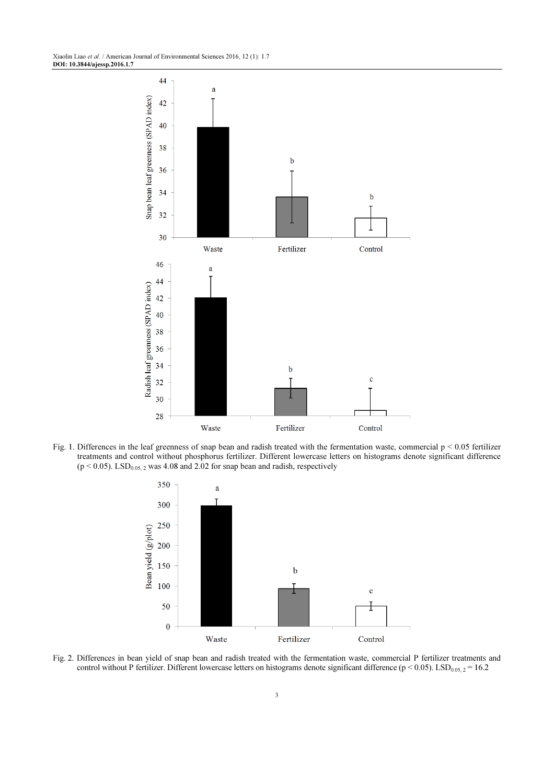Xiaolin Liao et al. / American Journal of Environmental Sciences 2016, 12 (1): 1.7 DOI: 10.3844/ajessp.2016.1.7



Fig. 1. Differences in the leaf greenness of snap bean and radish treated with the fermentation waste, commercial p < 0.05 fertilizer treatments and control without phosphorus fertilizer. Different lowercase letters on histograms denote significant difference  $(p < 0.05)$ . LSD<sub>0.05, 2</sub> was 4.08 and 2.02 for snap bean and radish, respectively



Fig. 2. Differences in bean yield of snap bean and radish treated with the fermentation waste, commercial P fertilizer treatments and control without P fertilizer. Different lowercase letters on histograms denote significant difference ( $p < 0.05$ ). LSD<sub>0.05, 2</sub> = 16.2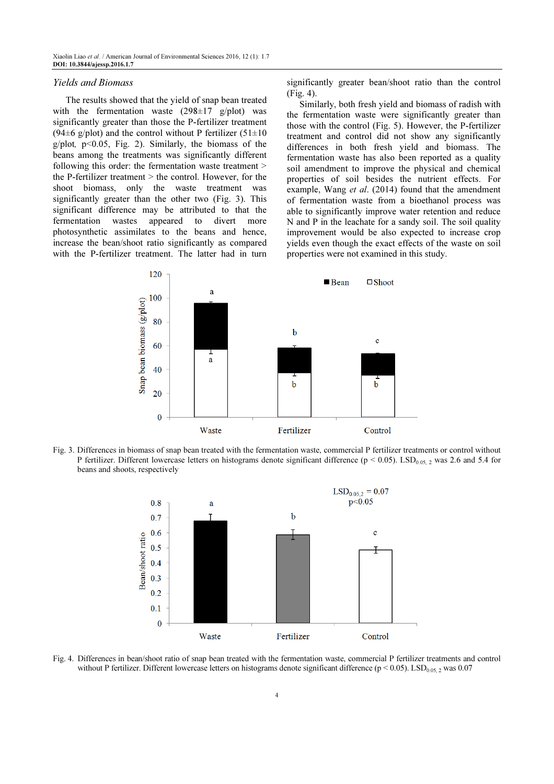#### Yields and Biomass

The results showed that the yield of snap bean treated with the fermentation waste  $(298\pm 17 \text{ g/plot})$  was significantly greater than those the P-fertilizer treatment (94 $\pm$ 6 g/plot) and the control without P fertilizer (51 $\pm$ 10  $g$ /plot,  $p$ <0.05, Fig. 2). Similarly, the biomass of the beans among the treatments was significantly different following this order: the fermentation waste treatment > the P-fertilizer treatment > the control. However, for the shoot biomass, only the waste treatment was significantly greater than the other two (Fig. 3). This significant difference may be attributed to that the fermentation wastes appeared to divert more photosynthetic assimilates to the beans and hence, increase the bean/shoot ratio significantly as compared with the P-fertilizer treatment. The latter had in turn significantly greater bean/shoot ratio than the control (Fig. 4).

Similarly, both fresh yield and biomass of radish with the fermentation waste were significantly greater than those with the control (Fig. 5). However, the P-fertilizer treatment and control did not show any significantly differences in both fresh yield and biomass. The fermentation waste has also been reported as a quality soil amendment to improve the physical and chemical properties of soil besides the nutrient effects. For example, Wang *et al.* (2014) found that the amendment of fermentation waste from a bioethanol process was able to significantly improve water retention and reduce N and P in the leachate for a sandy soil. The soil quality improvement would be also expected to increase crop yields even though the exact effects of the waste on soil properties were not examined in this study.



Fig. 3. Differences in biomass of snap bean treated with the fermentation waste, commercial P fertilizer treatments or control without P fertilizer. Different lowercase letters on histograms denote significant difference ( $p < 0.05$ ). LSD<sub>0.05, 2</sub> was 2.6 and 5.4 for beans and shoots, respectively



Fig. 4. Differences in bean/shoot ratio of snap bean treated with the fermentation waste, commercial P fertilizer treatments and control without P fertilizer. Different lowercase letters on histograms denote significant difference ( $p < 0.05$ ). LSD<sub>0.05</sub>, was 0.07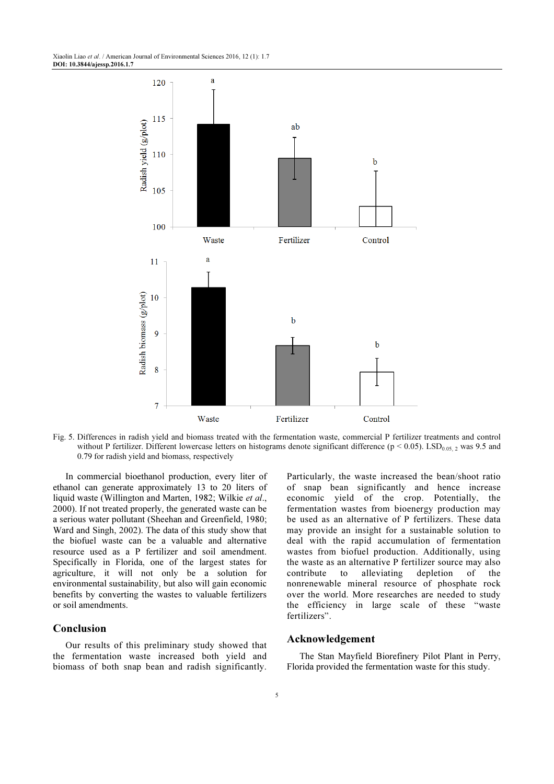Xiaolin Liao et al. / American Journal of Environmental Sciences 2016, 12 (1): 1.7 DOI: 10.3844/ajessp.2016.1.7



Fig. 5. Differences in radish yield and biomass treated with the fermentation waste, commercial P fertilizer treatments and control without P fertilizer. Different lowercase letters on histograms denote significant difference ( $p < 0.05$ ). LSD<sub>0.05</sub>  $_2$  was 9.5 and 0.79 for radish yield and biomass, respectively

In commercial bioethanol production, every liter of ethanol can generate approximately 13 to 20 liters of liquid waste (Willington and Marten, 1982; Wilkie et al., 2000). If not treated properly, the generated waste can be a serious water pollutant (Sheehan and Greenfield, 1980; Ward and Singh, 2002). The data of this study show that the biofuel waste can be a valuable and alternative resource used as a P fertilizer and soil amendment. Specifically in Florida, one of the largest states for agriculture, it will not only be a solution for environmental sustainability, but also will gain economic benefits by converting the wastes to valuable fertilizers or soil amendments.

## Conclusion

Our results of this preliminary study showed that the fermentation waste increased both yield and biomass of both snap bean and radish significantly. Particularly, the waste increased the bean/shoot ratio of snap bean significantly and hence increase economic yield of the crop. Potentially, the fermentation wastes from bioenergy production may be used as an alternative of P fertilizers. These data may provide an insight for a sustainable solution to deal with the rapid accumulation of fermentation wastes from biofuel production. Additionally, using the waste as an alternative P fertilizer source may also contribute to alleviating depletion of the nonrenewable mineral resource of phosphate rock over the world. More researches are needed to study the efficiency in large scale of these "waste fertilizers".

#### Acknowledgement

The Stan Mayfield Biorefinery Pilot Plant in Perry, Florida provided the fermentation waste for this study.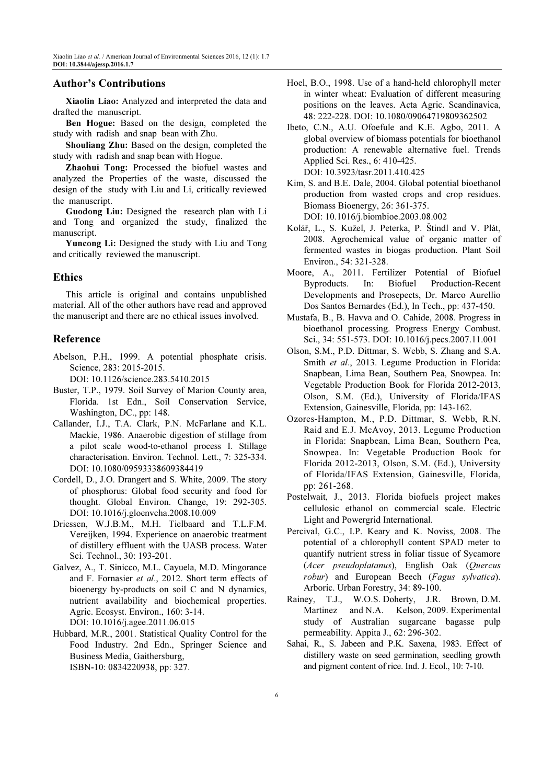### Author's Contributions

Xiaolin Liao: Analyzed and interpreted the data and drafted the manuscript.

Ben Hogue: Based on the design, completed the study with radish and snap bean with Zhu.

Shouliang Zhu: Based on the design, completed the study with radish and snap bean with Hogue.

Zhaohui Tong: Processed the biofuel wastes and analyzed the Properties of the waste, discussed the design of the study with Liu and Li, critically reviewed the manuscript.

Guodong Liu: Designed the research plan with Li and Tong and organized the study, finalized the manuscript.

Yuncong Li: Designed the study with Liu and Tong and critically reviewed the manuscript.

### Ethics

This article is original and contains unpublished material. All of the other authors have read and approved the manuscript and there are no ethical issues involved.

#### Reference

Abelson, P.H., 1999. A potential phosphate crisis. Science, 283: 2015-2015.

DOI: 10.1126/science.283.5410.2015

- Buster, T.P., 1979. Soil Survey of Marion County area, Florida. 1st Edn., Soil Conservation Service, Washington, DC., pp: 148.
- Callander, I.J., T.A. Clark, P.N. McFarlane and K.L. Mackie, 1986. Anaerobic digestion of stillage from a pilot scale wood‐to‐ethanol process I. Stillage characterisation. Environ. Technol. Lett., 7: 325-334. DOI: 10.1080/09593338609384419
- Cordell, D., J.O. Drangert and S. White, 2009. The story of phosphorus: Global food security and food for thought. Global Environ. Change, 19: 292-305. DOI: 10.1016/j.gloenvcha.2008.10.009
- Driessen, W.J.B.M., M.H. Tielbaard and T.L.F.M. Vereijken, 1994. Experience on anaerobic treatment of distillery effluent with the UASB process. Water Sci. Technol., 30: 193-201.
- Galvez, A., T. Sinicco, M.L. Cayuela, M.D. Mingorance and F. Fornasier et al., 2012. Short term effects of bioenergy by-products on soil C and N dynamics, nutrient availability and biochemical properties. Agric. Ecosyst. Environ., 160: 3-14. DOI: 10.1016/j.agee.2011.06.015
- Hubbard, M.R., 2001. Statistical Quality Control for the Food Industry. 2nd Edn., Springer Science and Business Media, Gaithersburg, ISBN-10: 0834220938, pp: 327.
- Hoel, B.O., 1998. Use of a hand‐held chlorophyll meter in winter wheat: Evaluation of different measuring positions on the leaves. Acta Agric. Scandinavica, 48: 222-228. DOI: 10.1080/09064719809362502
- Ibeto, C.N., A.U. Ofoefule and K.E. Agbo, 2011. A global overview of biomass potentials for bioethanol production: A renewable alternative fuel. Trends Applied Sci. Res., 6: 410-425. DOI: 10.3923/tasr.2011.410.425
- Kim, S. and B.E. Dale, 2004. Global potential bioethanol production from wasted crops and crop residues. Biomass Bioenergy, 26: 361-375. DOI: 10.1016/j.biombioe.2003.08.002
- Kolář, L., S. Kužel, J. Peterka, P. Štindl and V. Plát, 2008. Agrochemical value of organic matter of fermented wastes in biogas production. Plant Soil Environ., 54: 321-328.
- Moore, A., 2011. Fertilizer Potential of Biofuel Byproducts. In: Biofuel Production-Recent Developments and Prosepects, Dr. Marco Aurellio Dos Santos Bernardes (Ed.), In Tech., pp: 437-450.
- Mustafa, B., B. Havva and O. Cahide, 2008. Progress in bioethanol processing. Progress Energy Combust. Sci., 34: 551-573. DOI: 10.1016/j.pecs.2007.11.001
- Olson, S.M., P.D. Dittmar, S. Webb, S. Zhang and S.A. Smith et al., 2013. Legume Production in Florida: Snapbean, Lima Bean, Southern Pea, Snowpea. In: Vegetable Production Book for Florida 2012-2013, Olson, S.M. (Ed.), University of Florida/IFAS Extension, Gainesville, Florida, pp: 143-162.
- Ozores-Hampton, M., P.D. Dittmar, S. Webb, R.N. Raid and E.J. McAvoy, 2013. Legume Production in Florida: Snapbean, Lima Bean, Southern Pea, Snowpea. In: Vegetable Production Book for Florida 2012-2013, Olson, S.M. (Ed.), University of Florida/IFAS Extension, Gainesville, Florida, pp: 261-268.
- Postelwait, J., 2013. Florida biofuels project makes cellulosic ethanol on commercial scale. Electric Light and Powergrid International.
- Percival, G.C., I.P. Keary and K. Noviss, 2008. The potential of a chlorophyll content SPAD meter to quantify nutrient stress in foliar tissue of Sycamore (Acer pseudoplatanus), English Oak (Quercus robur) and European Beech (Fagus sylvatica). Arboric. Urban Forestry, 34: 89-100.
- Rainey, T.J., W.O.S. Doherty, J.R. Brown, D.M. Martinez and N.A. Kelson, 2009. Experimental study of Australian sugarcane bagasse pulp permeability. Appita J., 62: 296-302.
- Sahai, R., S. Jabeen and P.K. Saxena, 1983. Effect of distillery waste on seed germination, seedling growth and pigment content of rice. Ind. J. Ecol., 10: 7-10.